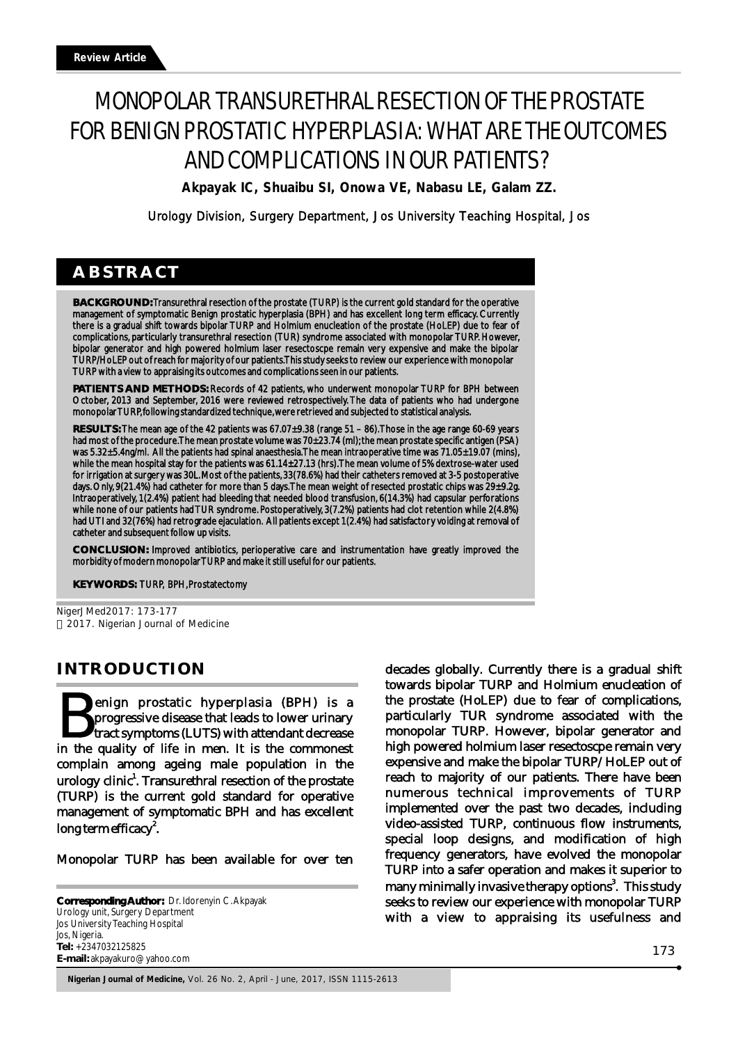# MONOPOLAR TRANSURETHRAL RESECTION OF THE PROSTATE FOR BENIGN PROSTATIC HYPERPLASIA: WHAT ARE THE OUTCOMES AND COMPLICATIONS IN OUR PATIENTS?

**Akpayak IC, Shuaibu SI, Onowa VE, Nabasu LE, Galam ZZ.** 

Urology Division, Surgery Department, Jos University Teaching Hospital, Jos

## **ABSTRACT**

**BACKGROUND:** Transurethral resection of the prostate (TURP) is the current gold standard for the operative management of symptomatic Benign prostatic hyperplasia (BPH) and has excellent long term efficacy. Currently there is a gradual shift towards bipolar TURP and Holmium enucleation of the prostate (HoLEP) due to fear of complications, particularly transurethral resection (TUR) syndrome associated with monopolar TURP. However, bipolar generator and high powered holmium laser resectoscpe remain very expensive and make the bipolar TURP/HoLEP out of reach for majority of our patients. This study seeks to review our experience with monopolar TURP with a view to appraising its outcomes and complications seen in our patients.

**PATIENTS AND METHODS:** Records of 42 patients, who underwent monopolar TURP for BPH between October, 2013 and September, 2016 were reviewed retrospectively. The data of patients who had undergone monopolar TURP, following standardized technique, were retrieved and subjected to statistical analysis.

**RESULTS:** The mean age of the 42 patients was 67.07±9.38 (range 51 – 86). Those in the age range 60-69 years had most of the procedure. The mean prostate volume was 70±23.74 (ml); the mean prostate specific antigen (PSA) was 5.32±5.4ng/ml. All the patients had spinal anaesthesia. The mean intraoperative time was 71.05±19.07 (mins), while the mean hospital stay for the patients was 61.14±27.13 (hrs). The mean volume of 5% dextrose-water used for irrigation at surgery was 30L. Most of the patients, 33(78.6%) had their catheters removed at 3-5 postoperative days. Only, 9(21.4%) had catheter for more than 5 days. The mean weight of resected prostatic chips was 29±9.2g. Intraoperatively, 1(2.4%) patient had bleeding that needed blood transfusion, 6(14.3%) had capsular perforations while none of our patients had TUR syndrome. Postoperatively, 3(7.2%) patients had clot retention while 2(4.8%) had UTI and 32(76%) had retrograde ejaculation. All patients except 1(2.4%) had satisfactory voiding at removal of catheter and subsequent follow up visits.

**CONCLUSION:** Improved antibiotics, perioperative care and instrumentation have greatly improved the morbidity of modern monopolar TURP and make it still useful for our patients.

**KEY WORDS:** TURP, BPH, Prostatectomy

NigerJMed2017: 173-177 2017. Nigerian Journal of Medicine

## **INTRODUCTION**

enign prostatic hyperplasia (BPH) is a progressive disease that leads to lower urinary<br>tract symptoms (LUTS) with attendant decrease in the quality of life in men. It is the commonest complain among ageing male population in the urology clinic<sup>1</sup>. Transurethral resection of the prostate (TURP) is the current gold standard for operative management of symptomatic BPH and has excellent  $\log$  term efficacy $^2$ .

Monopolar TURP has been available for over ten

**Corresponding Author:** Dr. Idorenyin C.Akpayak Urology unit, Surgery Department Jos University Teaching Hospital Jos, Nigeria. **Tel:** +2347032125825 **E-mail:** akpayakuro@yahoo.com

decades globally. Currently there is a gradual shift towards bipolar TURP and Holmium enucleation of the prostate (HoLEP) due to fear of complications, particularly TUR syndrome associated with the monopolar TURP. However, bipolar generator and high powered holmium laser resectoscpe remain very expensive and make the bipolar TURP/HoLEP out of reach to majority of our patients. There have been numerous technical improvements of TURP implemented over the past two decades, including video-assisted TURP, continuous flow instruments, special loop designs, and modification of high frequency generators, have evolved the monopolar TURP into a safer operation and makes it superior to many minimally invasive therapy options<sup>3</sup>. This study seeks to review our experience with monopolar TURP with a view to appraising its usefulness and

**Nigerian Journal of Medicine,** Vol. 26 No. 2, April - June, 2017, ISSN 1115-2613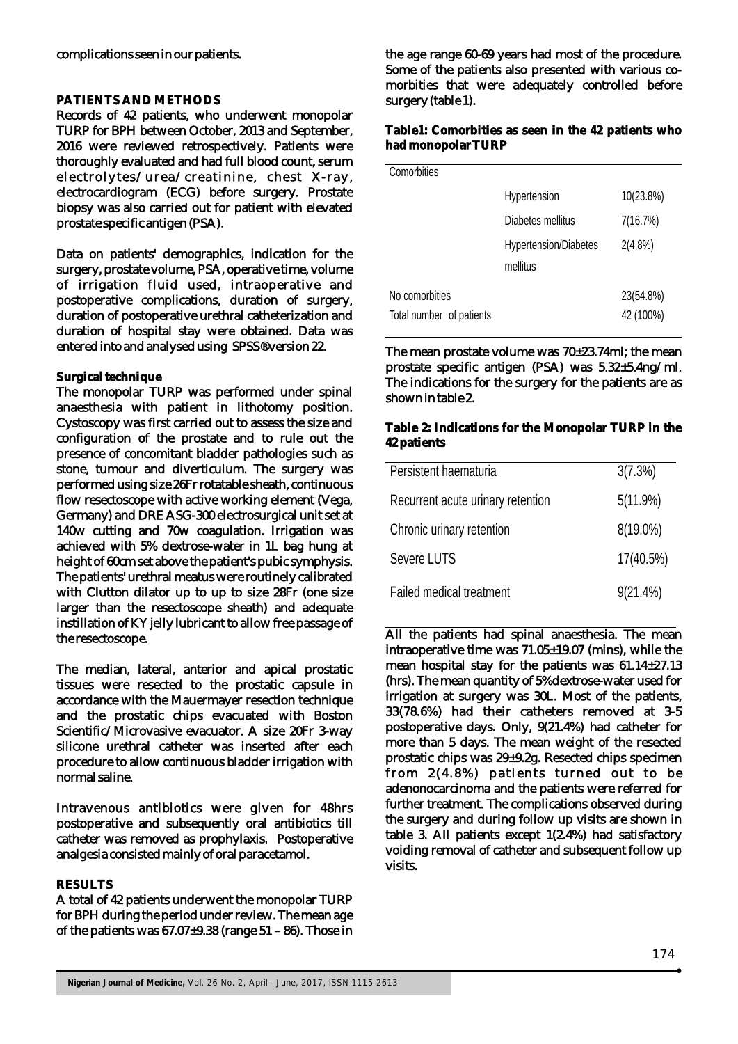#### **PATIENTS AND METHODS**

Records of 42 patients, who underwent monopolar TURP for BPH between October, 2013 and September, 2016 were reviewed retrospectively. Patients were thoroughly evaluated and had full blood count, serum electrolytes/urea/creatinine, chest X-ray, electrocardiogram (ECG) before surgery. Prostate biopsy was also carried out for patient with elevated prostate specific antigen (PSA).

Data on patients' demographics, indication for the surgery, prostate volume, PSA, operative time, volume of irrigation fluid used, intraoperative and postoperative complications, duration of surgery, duration of postoperative urethral catheterization and duration of hospital stay were obtained. Data was entered into and analysed using SPSS®version 22.

### **Surgical technique**

The monopolar TURP was performed under spinal anaesthesia with patient in lithotomy position. Cystoscopy was first carried out to assess the size and configuration of the prostate and to rule out the presence of concomitant bladder pathologies such as stone, tumour and diverticulum. The surgery was performed using size 26Fr rotatable sheath, continuous flow resectoscope with active working element (Vega, Germany) and DRE ASG-300 electrosurgical unit set at 140w cutting and 70w coagulation. Irrigation was achieved with 5% dextrose-water in 1L bag hung at height of 60cm set above the patient's pubic symphysis. The patients' urethral meatus were routinely calibrated with Clutton dilator up to up to size 28Fr (one size larger than the resectoscope sheath) and adequate instillation of KY jelly lubricant to allow free passage of the resectoscope.

The median, lateral, anterior and apical prostatic tissues were resected to the prostatic capsule in accordance with the Mauermayer resection technique and the prostatic chips evacuated with Boston Scientific/Microvasive evacuator. A size 20Fr 3-way silicone urethral catheter was inserted after each procedure to allow continuous bladder irrigation with normal saline.

Intravenous antibiotics were given for 48hrs postoperative and subsequently oral antibiotics till catheter was removed as prophylaxis. Postoperative analgesia consisted mainly of oral paracetamol.

#### **RESULTS**

A total of 42 patients underwent the monopolar TURP for BPH during the period under review. The mean age of the patients was  $67.07\pm9.38$  (range  $51 - 86$ ). Those in

the age range 60-69 years had most of the procedure. Some of the patients also presented with various comorbities that were adequately controlled before surgery (table 1).

#### **Table1: Comorbities as seen in the 42 patients who had monopolar TURP**

| Comorbities              |                              |            |
|--------------------------|------------------------------|------------|
|                          | Hypertension                 | 10(23.8%)  |
|                          | Diabetes mellitus            | 7(16.7%)   |
|                          | <b>Hypertension/Diabetes</b> | $2(4.8\%)$ |
|                          | mellitus                     |            |
| No comorbities           |                              | 23(54.8%)  |
| Total number of patients |                              | 42 (100%)  |

The mean prostate volume was 70±23.74ml; the mean prostate specific antigen (PSA) was 5.32±5.4ng/ml. The indications for the surgery for the patients are as shown in table 2.

#### **Table 2: Indications for the Monopolar TURP in the 42 patients**

| Persistent haematuria             | 3(7.3%)     |
|-----------------------------------|-------------|
| Recurrent acute urinary retention | $5(11.9\%)$ |
| Chronic urinary retention         | $8(19.0\%)$ |
| Severe LUTS                       | 17(40.5%)   |
| Failed medical treatment          | $9(21.4\%)$ |

All the patients had spinal anaesthesia. The mean intraoperative time was 71.05±19.07 (mins), while the mean hospital stay for the patients was 61.14±27.13 (hrs). The mean quantity of 5%dextrose-water used for irrigation at surgery was 30L. Most of the patients, 33(78.6%) had their catheters removed at 3-5 postoperative days. Only, 9(21.4%) had catheter for more than 5 days. The mean weight of the resected prostatic chips was 29±9.2g. Resected chips specimen from  $2(4.8\%)$  patients turned out to be adenonocarcinoma and the patients were referred for further treatment. The complications observed during the surgery and during follow up visits are shown in table 3. All patients except 1(2.4%) had satisfactory voiding removal of catheter and subsequent follow up visits.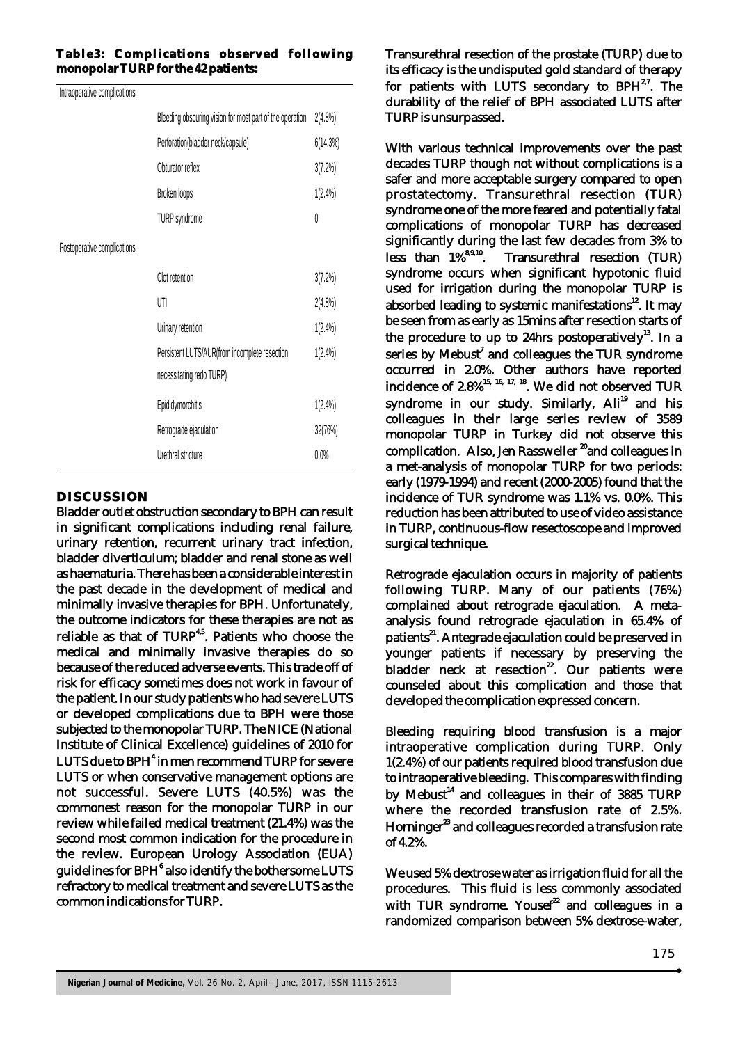#### **Table3: Complications observed following monopolar TURP for the 42 patients:**

Intraoperative complications

| <b>INTERNATIONALLY AND IMMORTANTLY</b> |                                                                           |            |
|----------------------------------------|---------------------------------------------------------------------------|------------|
|                                        | Bleeding obscuring vision for most part of the operation                  | $2(4.8\%)$ |
|                                        | Perforation(bladder neck/capsule)                                         | 6(14.3%)   |
|                                        | Obturator reflex                                                          | 3(7.2%)    |
|                                        | Broken loops                                                              | $1(2.4\%)$ |
|                                        | <b>TURP</b> syndrome                                                      | 0          |
| Postoperative complications            |                                                                           |            |
|                                        | Clot retention                                                            | 3(7.2%)    |
|                                        | UTI                                                                       | $2(4.8\%)$ |
|                                        | Urinary retention                                                         | $1(2.4\%)$ |
|                                        | Persistent LUTS/AUR(from incomplete resection<br>necessitating redo TURP) | $1(2.4\%)$ |
|                                        | Epididymorchitis                                                          | $1(2.4\%)$ |
|                                        | Retrograde ejaculation                                                    | 32(76%)    |
|                                        | Urethral stricture                                                        | $0.0\%$    |
|                                        |                                                                           |            |

#### **DISCUSSION**

Bladder outlet obstruction secondary to BPH can result in significant complications including renal failure, urinary retention, recurrent urinary tract infection, bladder diverticulum; bladder and renal stone as well as haematuria. There has been a considerable interest in the past decade in the development of medical and minimally invasive therapies for BPH. Unfortunately, the outcome indicators for these therapies are not as reliable as that of  $\text{TURP}^{4,5}$ . Patients who choose the medical and minimally invasive therapies do so because of the reduced adverse events. This trade off of risk for efficacy sometimes does not work in favour of the patient. In our study patients who had severe LUTS or developed complications due to BPH were those subjected to the monopolar TURP. The NICE (National Institute of Clinical Excellence) guidelines of 2010 for LUTS due to BPH<sup>4</sup> in men recommend TURP for severe LUTS or when conservative management options are not successful. Severe LUTS (40.5%) was the commonest reason for the monopolar TURP in our review while failed medical treatment (21.4%) was the second most common indication for the procedure in the review. European Urology Association (EUA) guidelines for BPH $^{\rm 6}$  also identify the bothersome LUTS refractory to medical treatment and severe LUTS as the common indications for TURP.

Transurethral resection of the prostate (TURP) due to its efficacy is the undisputed gold standard of therapy for patients with LUTS secondary to  $BPH^{2,7}$ . The durability of the relief of BPH associated LUTS after TURP is unsurpassed.

With various technical improvements over the past decades TURP though not without complications is a safer and more acceptable surgery compared to open prostatectomy. Transurethral resection (TUR) syndrome one of the more feared and potentially fatal complications of monopolar TURP has decreased significantly during the last few decades from  $3\%$  to<br>less than  $1\%$ <sup>8,9,10</sup>. Transurethral resection (TUR) Transurethral resection (TUR) syndrome occurs when significant hypotonic fluid used for irrigation during the monopolar TURP is absorbed leading to systemic manifestations $^{12}$ . It may be seen from as early as 15mins after resection starts of the procedure to up to 24hrs postoperatively $^{13}$ . In a series by Mebust<sup>7</sup> and colleagues the TUR syndrome occurred in 2.0%. Other authors have reported incidence of  $2.8\%$ <sup>15, 16, 17, 18</sup>. We did not observed TUR syndrome in our study. Similarly, Ali<sup>19</sup> and his colleagues in their large series review of 3589 monopolar TURP in Turkey did not observe this complication. Also, Jen Rassweiler <sup>20</sup> and colleagues in a met-analysis of monopolar TURP for two periods: early (1979-1994) and recent (2000-2005) found that the incidence of TUR syndrome was 1.1% vs. 0.0%. This reduction has been attributed to use of video assistance in TURP, continuous-flow resectoscope and improved surgical technique.

Retrograde ejaculation occurs in majority of patients following TURP. Many of our patients (76%) complained about retrograde ejaculation. A metaanalysis found retrograde ejaculation in 65.4% of patients<sup>21</sup>. Antegrade ejaculation could be preserved in younger patients if necessary by preserving the bladder neck at resection<sup>22</sup>. Our patients were counseled about this complication and those that developed the complication expressed concern.

Bleeding requiring blood transfusion is a major intraoperative complication during TURP. Only 1(2.4%) of our patients required blood transfusion due to intraoperative bleeding. This compares with finding by Mebust<sup>14</sup> and colleagues in their of 3885 TURP where the recorded transfusion rate of 2.5%. Horninger<sup>23</sup> and colleagues recorded a transfusion rate of 4.2%.

We used 5% dextrose water as irrigation fluid for all the procedures. This fluid is less commonly associated with TUR syndrome. Yousef<sup>22</sup> and colleagues in a randomized comparison between 5% dextrose-water,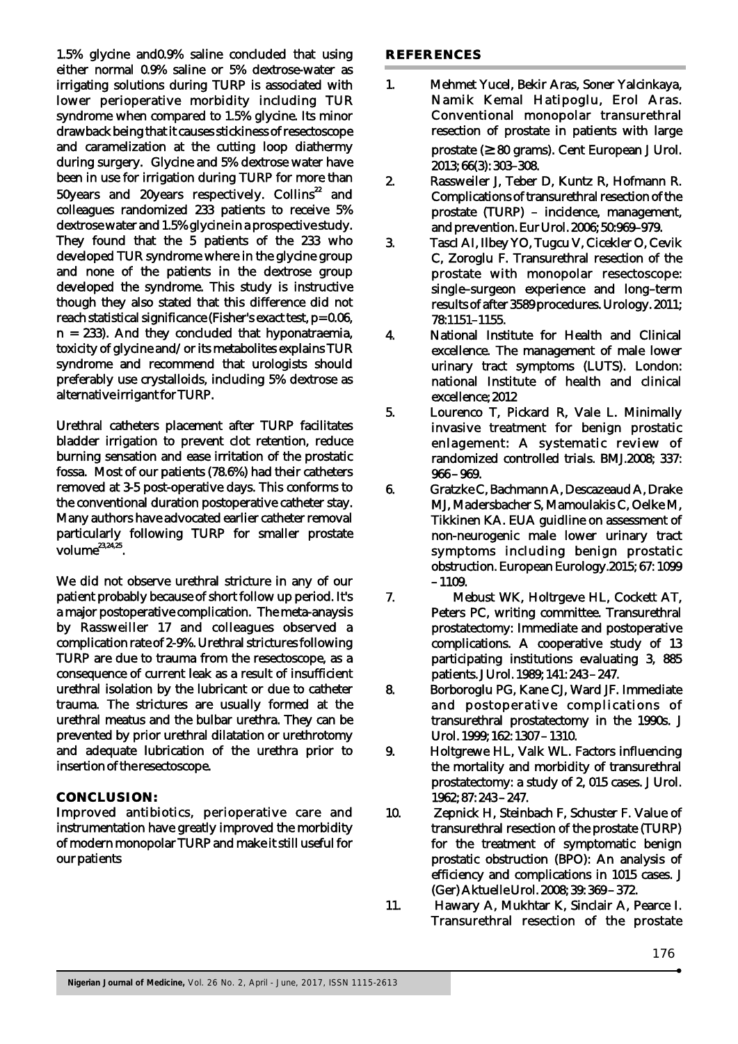1.5% glycine and0.9% saline concluded that using either normal 0.9% saline or 5% dextrose-water as irrigating solutions during TURP is associated with lower perioperative morbidity including TUR syndrome when compared to 1.5% glycine. Its minor drawback being that it causes stickiness of resectoscope and caramelization at the cutting loop diathermy during surgery. Glycine and 5% dextrose water have been in use for irrigation during TURP for more than 50years and 20years respectively. Collins<sup>22</sup> and colleagues randomized 233 patients to receive 5% dextrose water and 1.5% glycine in a prospective study. They found that the 5 patients of the 233 who developed TUR syndrome where in the glycine group and none of the patients in the dextrose group developed the syndrome. This study is instructive though they also stated that this difference did not reach statistical significance (Fisher's exact test, p= 0.06,  $n = 233$ ). And they concluded that hyponatraemia, toxicity of glycine and/or its metabolites explains TUR syndrome and recommend that urologists should preferably use crystalloids, including 5% dextrose as alternative irrigant for TURP.

Urethral catheters placement after TURP facilitates bladder irrigation to prevent clot retention, reduce burning sensation and ease irritation of the prostatic fossa. Most of our patients (78.6%) had their catheters removed at 3-5 post-operative days. This conforms to the conventional duration postoperative catheter stay. Many authors have advocated earlier catheter removal particularly following TURP for smaller prostate  $volume^{23,24,25}$ 

We did not observe urethral stricture in any of our patient probably because of short follow up period. It's a major postoperative complication. The meta-anaysis by Rassweiller 17 and colleagues observed a complication rate of 2-9%. Urethral strictures following TURP are due to trauma from the resectoscope, as a consequence of current leak as a result of insufficient urethral isolation by the lubricant or due to catheter trauma. The strictures are usually formed at the urethral meatus and the bulbar urethra. They can be prevented by prior urethral dilatation or urethrotomy and adequate lubrication of the urethra prior to insertion of the resectoscope.

#### **CONCLUSION:**

Improved antibiotics, perioperative care and instrumentation have greatly improved the morbidity of modern monopolar TURP and make it still useful for our patients

#### **REFERENCES**

- 1. Mehmet Yucel, Bekir Aras, Soner Yalcinkaya, Namik Kemal Hatipoglu, Erol Aras. Conventional monopolar transurethral resection of prostate in patients with large prostate (≥80 grams). Cent European J Urol. 2013; 66(3): 303–308.
- 2. Rassweiler J, Teber D, Kuntz R, Hofmann R. Complications of transurethral resection of the prostate (TURP) – incidence, management, and prevention. Eur Urol. 2006; 50:969–979.
- 3. TascI AI, Ilbey YO, Tugcu V, Cicekler O, Cevik C, Zoroglu F. Transurethral resection of the prostate with monopolar resectoscope: single–surgeon experience and long–term results of after 3589 procedures. Urology. 2011; 78:1151–1155.
- 4. National Institute for Health and Clinical excellence. The management of male lower urinary tract symptoms (LUTS). London: national Institute of health and clinical excellence; 2012
- 5. Lourenco T, Pickard R, Vale L. Minimally invasive treatment for benign prostatic enlagement: A systematic review of randomized controlled trials. BMJ.2008; 337: 966 – 969.
- 6. Gratzke C, Bachmann A, Descazeaud A, Drake MJ, Madersbacher S, Mamoulakis C, Oelke M, Tikkinen KA. EUA guidline on assessment of non-neurogenic male lower urinary tract symptoms including benign prostatic obstruction. European Eurology.2015; 67: 1099 – 1109.
- 7. Mebust WK, Holtrgeve HL, Cockett AT, Peters PC, writing committee. Transurethral prostatectomy: Immediate and postoperative complications. A cooperative study of 13 participating institutions evaluating 3, 885 patients. J Urol. 1989; 141: 243 – 247.
- 8. Borboroglu PG, Kane CJ, Ward JF. Immediate and postoperative complications of transurethral prostatectomy in the 1990s. J Urol. 1999; 162: 1307 – 1310.
- 9. Holtgrewe HL, Valk WL. Factors influencing the mortality and morbidity of transurethral prostatectomy: a study of 2, 015 cases. J Urol. 1962; 87: 243 – 247.
- 10. Zepnick H, Steinbach F, Schuster F. Value of transurethral resection of the prostate (TURP) for the treatment of symptomatic benign prostatic obstruction (BPO): An analysis of efficiency and complications in 1015 cases. J (Ger) Aktuelle Urol. 2008; 39: 369 – 372.
- 11. Hawary A, Mukhtar K, Sinclair A, Pearce I. Transurethral resection of the prostate